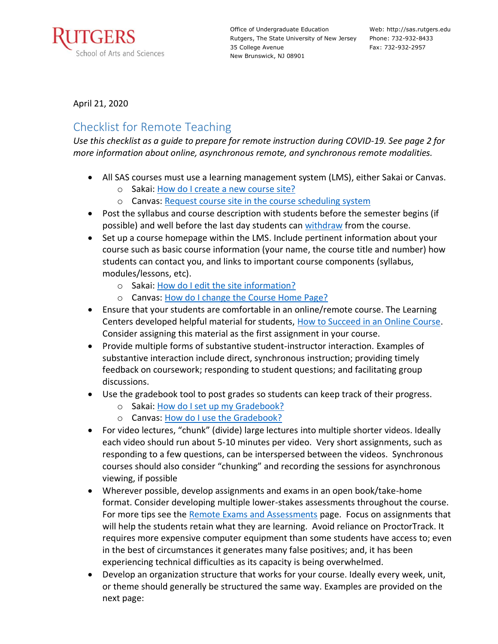

Office of Undergraduate Education Rutgers, The State University of New Jersey 35 College Avenue New Brunswick, NJ 08901

Web: http://sas.rutgers.edu Phone: 732-932-8433 Fax: 732-932-2957

April 21, 2020

## Checklist for Remote Teaching

*Use this checklist as a guide to prepare for remote instruction during COVID-19. See page 2 for more information about online, asynchronous remote, and synchronous remote modalities.*

- All SAS courses must use a learning management system (LMS), either Sakai or Canvas.
	- o Sakai: [How do I create a new course site?](http://rutgersnb.screenstepslive.com/s/15636/m/59855/l/610839-how-do-i-create-a-new-course-or-project-site)
	- o Canvas: [Request course site in the course scheduling system](https://canvas.rutgers.edu/instructors/request-a-course/live-course-sites/)
- Post the syllabus and course description with students before the semester begins (if possible) and well before the last day students can [withdraw](https://summersession.rutgers.edu/important-dates/cancellation) from the course.
- Set up a course homepage within the LMS. Include pertinent information about your course such as basic course information (your name, the course title and number) how students can contact you, and links to important course components (syllabus, modules/lessons, etc).
	- o Sakai: [How do I edit the site information?](http://rutgersnb.screenstepslive.com/s/15636/m/59855/l/611085-how-do-i-edit-the-site-information)
	- o Canvas: [How do I change the Course Home Page?](https://community.canvaslms.com/docs/DOC-13012-4152724499)
- Ensure that your students are comfortable in an online/remote course. The Learning Centers developed helpful material for students, [How to Succeed in an Online Course.](https://rlc.rutgers.edu/succeedonline) Consider assigning this material as the first assignment in your course.
- Provide multiple forms of substantive student-instructor interaction. Examples of substantive interaction include direct, synchronous instruction; providing timely feedback on coursework; responding to student questions; and facilitating group discussions.
- Use the gradebook tool to post grades so students can keep track of their progress.
	- o Sakai: [How do I set up my Gradebook?](http://rutgersnb.screenstepslive.com/s/15636/m/59855/l/610885-how-do-i-set-up-my-gradebook)
	- o Canvas: [How do I use the Gradebook?](https://community.canvaslms.com/docs/DOC-16554-4152813659)
- For video lectures, "chunk" (divide) large lectures into multiple shorter videos. Ideally each video should run about 5-10 minutes per video. Very short assignments, such as responding to a few questions, can be interspersed between the videos. Synchronous courses should also consider "chunking" and recording the sessions for asynchronous viewing, if possible
- Wherever possible, develop assignments and exams in an open book/take-home format. Consider developing multiple lower-stakes assessments throughout the course. For more tips see the [Remote Exams and Assessments](https://sasoue.rutgers.edu/teaching-learning/remote-exams-assessment) page. Focus on assignments that will help the students retain what they are learning. Avoid reliance on ProctorTrack. It requires more expensive computer equipment than some students have access to; even in the best of circumstances it generates many false positives; and, it has been experiencing technical difficulties as its capacity is being overwhelmed.
- Develop an organization structure that works for your course. Ideally every week, unit, or theme should generally be structured the same way. Examples are provided on the next page: